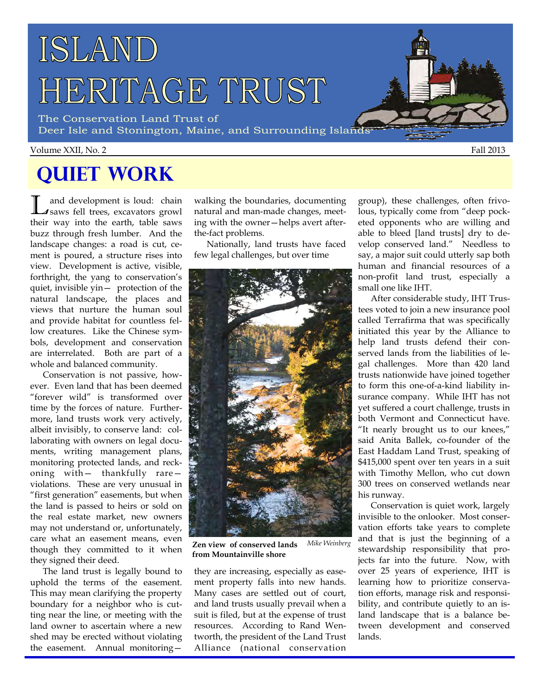# ISLAND HERITAGE TRUST

The Conservation Land Trust of Deer Isle and Stonington, Maine, and Surrounding Islands

#### Volume XXII, No. 2 Fall 2013

# **Quiet Work**

L and development is loud: chain saws fell trees, excavators growl their way into the earth, table saws buzz through fresh lumber. And the landscape changes: a road is cut, cement is poured, a structure rises into view. Development is active, visible, forthright, the yang to conservation's quiet, invisible yin— protection of the natural landscape, the places and views that nurture the human soul and provide habitat for countless fellow creatures. Like the Chinese symbols, development and conservation are interrelated. Both are part of a whole and balanced community.

 Conservation is not passive, however. Even land that has been deemed "forever wild" is transformed over time by the forces of nature. Furthermore, land trusts work very actively, albeit invisibly, to conserve land: collaborating with owners on legal documents, writing management plans, monitoring protected lands, and reckoning with— thankfully rare violations. These are very unusual in "first generation" easements, but when the land is passed to heirs or sold on the real estate market, new owners may not understand or, unfortunately, care what an easement means, even though they committed to it when they signed their deed.

 The land trust is legally bound to uphold the terms of the easement. This may mean clarifying the property boundary for a neighbor who is cutting near the line, or meeting with the land owner to ascertain where a new shed may be erected without violating the easement. Annual monitoringwalking the boundaries, documenting natural and man-made changes, meeting with the owner—helps avert afterthe-fact problems.

 Nationally, land trusts have faced few legal challenges, but over time



**Zen view of conserved lands from Mountainville shore**  *Mike Weinberg* 

they are increasing, especially as easement property falls into new hands. Many cases are settled out of court, and land trusts usually prevail when a suit is filed, but at the expense of trust resources. According to Rand Wentworth, the president of the Land Trust Alliance (national conservation

group), these challenges, often frivolous, typically come from "deep pocketed opponents who are willing and able to bleed [land trusts] dry to develop conserved land." Needless to say, a major suit could utterly sap both human and financial resources of a non-profit land trust, especially a small one like IHT.

 After considerable study, IHT Trustees voted to join a new insurance pool called Terrafirma that was specifically initiated this year by the Alliance to help land trusts defend their conserved lands from the liabilities of legal challenges. More than 420 land trusts nationwide have joined together to form this one-of-a-kind liability insurance company. While IHT has not yet suffered a court challenge, trusts in both Vermont and Connecticut have. "It nearly brought us to our knees," said Anita Ballek, co-founder of the East Haddam Land Trust, speaking of \$415,000 spent over ten years in a suit with Timothy Mellon, who cut down 300 trees on conserved wetlands near his runway.

 Conservation is quiet work, largely invisible to the onlooker. Most conservation efforts take years to complete and that is just the beginning of a stewardship responsibility that projects far into the future. Now, with over 25 years of experience, IHT is learning how to prioritize conservation efforts, manage risk and responsibility, and contribute quietly to an island landscape that is a balance between development and conserved lands.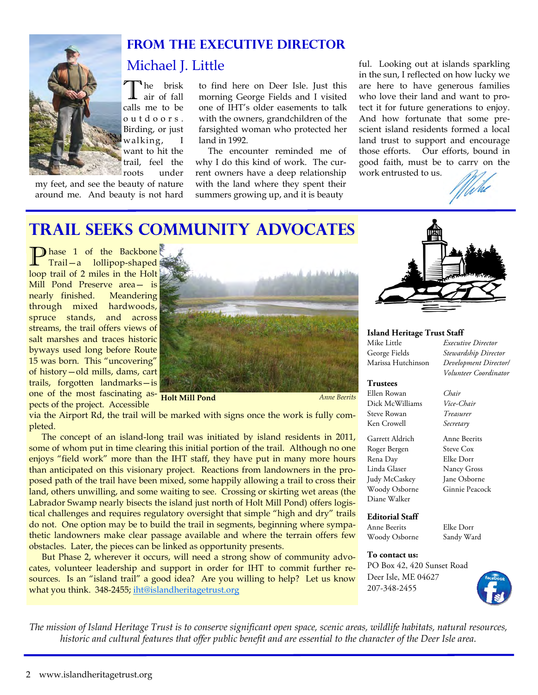

#### **From the Executive Director**

### Michael J. Little

<sup>1</sup>he brisk air of fall calls me to be o u t d o o r s . Birding, or just walking, want to hit the trail, feel the roots under

my feet, and see the beauty of nature around me. And beauty is not hard

to find here on Deer Isle. Just this morning George Fields and I visited one of IHT's older easements to talk with the owners, grandchildren of the farsighted woman who protected her land in 1992.

 The encounter reminded me of why I do this kind of work. The current owners have a deep relationship with the land where they spent their summers growing up, and it is beauty

ful. Looking out at islands sparkling in the sun, I reflected on how lucky we are here to have generous families who love their land and want to protect it for future generations to enjoy. And how fortunate that some prescient island residents formed a local land trust to support and encourage those efforts. Our efforts, bound in good faith, must be to carry on the work entrusted to us.



Stewardship Director

 *Volunteer Coordinator*

### **Trail Seeks Community Advocates**

**P** hase 1 of the Backbone Trail—a lollipop-shaped loop trail of 2 miles in the Holt Mill Pond Preserve area— is nearly finished. Meandering through mixed hardwoods, spruce stands, and across streams, the trail offers views of salt marshes and traces historic byways used long before Route 15 was born. This "uncovering" of history—old mills, dams, cart trails, forgotten landmarks—is one of the most fascinating as-**Holt Mill Pond** *Anne Beerits*  pects of the project. Accessible



via the Airport Rd, the trail will be marked with signs once the work is fully completed.

 The concept of an island-long trail was initiated by island residents in 2011, some of whom put in time clearing this initial portion of the trail. Although no one enjoys "field work" more than the IHT staff, they have put in many more hours than anticipated on this visionary project. Reactions from landowners in the proposed path of the trail have been mixed, some happily allowing a trail to cross their land, others unwilling, and some waiting to see. Crossing or skirting wet areas (the Labrador Swamp nearly bisects the island just north of Holt Mill Pond) offers logistical challenges and requires regulatory oversight that simple "high and dry" trails do not. One option may be to build the trail in segments, beginning where sympathetic landowners make clear passage available and where the terrain offers few obstacles. Later, the pieces can be linked as opportunity presents.

 But Phase 2, wherever it occurs, will need a strong show of community advocates, volunteer leadership and support in order for IHT to commit further resources. Is an "island trail" a good idea? Are you willing to help? Let us know what you think. 348-2455; iht@islandheritagetrust.org



#### **Island Heritage Trust Staff**

Mike Little *Executive Director* Marissa Hutchinson *Development Director/* 

#### **Trustees**

Ellen Rowan *Chair* Dick McWilliams Steve Rowan *Treasurer* Ken Crowell *Secretary* 

Garrett Aldrich Anne Beerits Roger Bergen Steve Cox Rena Day Elke Dorr Linda Glaser Nancy Gross Judy McCaskey Jane Osborne Woody Osborne Ginnie Peacock Diane Walker

#### **Editorial Staff**

Anne Beerits Elke Dorr Woody Osborne Sandy Ward

#### **To contact us:**

PO Box 42, 420 Sunset Road Deer Isle, ME 04627 207-348-2455



*The mission of Island Heritage Trust is to conserve significant open space, scenic areas, wildlife habitats, natural resources, historic and cultural features that offer public benefit and are essential to the character of the Deer Isle area.*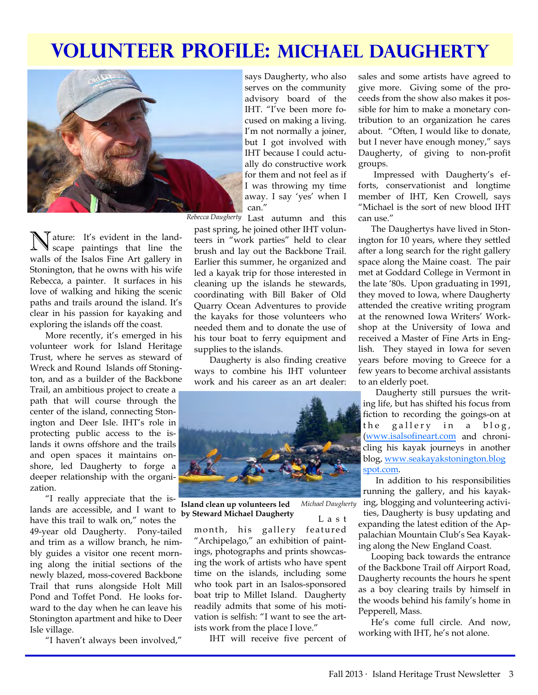# **Volunteer Profile: Michael Daugherty**



N ature: It's evident in the land-scape paintings that line the walls of the Isalos Fine Art gallery in Stonington, that he owns with his wife Rebecca, a painter. It surfaces in his love of walking and hiking the scenic paths and trails around the island. It's clear in his passion for kayaking and exploring the islands off the coast.

More recently, it's emerged in his volunteer work for Island Heritage Trust, where he serves as steward of Wreck and Round Islands off Stonington, and as a builder of the Backbone Trail, an ambitious project to create a path that will course through the center of the island, connecting Stonington and Deer Isle. IHT's role in protecting public access to the islands it owns offshore and the trails and open spaces it maintains onshore, led Daugherty to forge a deeper relationship with the organization.

"I really appreciate that the islands are accessible, and I want to

have this trail to walk on," notes the 49-year old Daugherty. Pony-tailed and trim as a willow branch, he nimbly guides a visitor one recent morning along the initial sections of the newly blazed, moss-covered Backbone Trail that runs alongside Holt Mill Pond and Toffet Pond. He looks forward to the day when he can leave his Stonington apartment and hike to Deer Isle village.

"I haven't always been involved,"

says Daugherty, who also serves on the community advisory board of the IHT. "I've been more focused on making a living. I'm not normally a joiner, but I got involved with IHT because I could actually do constructive work for them and not feel as if I was throwing my time away. I say 'yes' when I can."

Rebecca Daugherty Last autumn and this

past spring, he joined other IHT volunteers in "work parties" held to clear brush and lay out the Backbone Trail. Earlier this summer, he organized and led a kayak trip for those interested in cleaning up the islands he stewards, coordinating with Bill Baker of Old Quarry Ocean Adventures to provide the kayaks for those volunteers who needed them and to donate the use of his tour boat to ferry equipment and supplies to the islands.

Daugherty is also finding creative ways to combine his IHT volunteer work and his career as an art dealer:



**Island clean up volunteers led by Steward Michael Daugherty** 

L a s t *Michael Daugherty* 

month, his gallery featured "Archipelago," an exhibition of paintings, photographs and prints showcasing the work of artists who have spent time on the islands, including some who took part in an Isalos-sponsored boat trip to Millet Island. Daugherty readily admits that some of his motivation is selfish: "I want to see the artists work from the place I love."

IHT will receive five percent of

sales and some artists have agreed to give more. Giving some of the proceeds from the show also makes it possible for him to make a monetary contribution to an organization he cares about. "Often, I would like to donate, but I never have enough money," says Daugherty, of giving to non-profit groups.

Impressed with Daugherty's efforts, conservationist and longtime member of IHT, Ken Crowell, says "Michael is the sort of new blood IHT can use."

 The Daughertys have lived in Stonington for 10 years, where they settled after a long search for the right gallery space along the Maine coast. The pair met at Goddard College in Vermont in the late '80s. Upon graduating in 1991, they moved to Iowa, where Daugherty attended the creative writing program at the renowned Iowa Writers' Workshop at the University of Iowa and received a Master of Fine Arts in English. They stayed in Iowa for seven years before moving to Greece for a few years to become archival assistants to an elderly poet.

 Daugherty still pursues the writing life, but has shifted his focus from fiction to recording the goings-on at the gallery in a blog, (www.isalsofineart.com and chronicling his kayak journeys in another blog, www.seakayakstonington.blog spot.com.

 In addition to his responsibilities running the gallery, and his kayaking, blogging and volunteering activities, Daugherty is busy updating and expanding the latest edition of the Appalachian Mountain Club's Sea Kayaking along the New England Coast.

Looping back towards the entrance of the Backbone Trail off Airport Road, Daugherty recounts the hours he spent as a boy clearing trails by himself in the woods behind his family's home in Pepperell, Mass.

 He's come full circle. And now, working with IHT, he's not alone.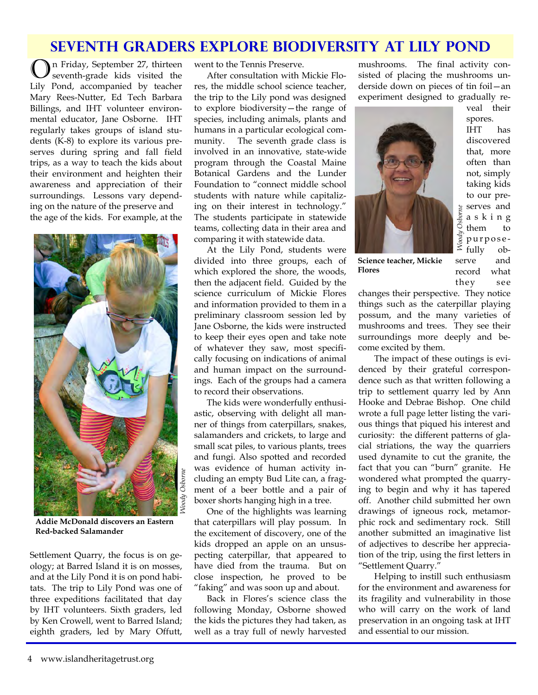### **Seventh Graders explore Biodiversity at Lily POnd**

O n Friday, September 27, thirteen seventh-grade kids visited the Lily Pond, accompanied by teacher Mary Rees-Nutter, Ed Tech Barbara Billings, and IHT volunteer environmental educator, Jane Osborne. IHT regularly takes groups of island students (K-8) to explore its various preserves during spring and fall field trips, as a way to teach the kids about their environment and heighten their awareness and appreciation of their surroundings. Lessons vary depending on the nature of the preserve and the age of the kids. For example, at the



**Addie McDonald discovers an Eastern Red-backed Salamander** 

Settlement Quarry, the focus is on geology; at Barred Island it is on mosses, and at the Lily Pond it is on pond habitats. The trip to Lily Pond was one of three expeditions facilitated that day by IHT volunteers. Sixth graders, led by Ken Crowell, went to Barred Island; eighth graders, led by Mary Offutt,

went to the Tennis Preserve.

 After consultation with Mickie Flores, the middle school science teacher, the trip to the Lily pond was designed to explore biodiversity—the range of species, including animals, plants and humans in a particular ecological community. The seventh grade class is involved in an innovative, state-wide program through the Coastal Maine Botanical Gardens and the Lunder Foundation to "connect middle school students with nature while capitalizing on their interest in technology." The students participate in statewide teams, collecting data in their area and comparing it with statewide data.

 At the Lily Pond, students were divided into three groups, each of which explored the shore, the woods, then the adjacent field. Guided by the science curriculum of Mickie Flores and information provided to them in a preliminary classroom session led by Jane Osborne, the kids were instructed to keep their eyes open and take note of whatever they saw, most specifically focusing on indications of animal and human impact on the surroundings. Each of the groups had a camera to record their observations.

 The kids were wonderfully enthusiastic, observing with delight all manner of things from caterpillars, snakes, salamanders and crickets, to large and small scat piles, to various plants, trees and fungi. Also spotted and recorded was evidence of human activity including an empty Bud Lite can, a fragment of a beer bottle and a pair of boxer shorts hanging high in a tree.

 One of the highlights was learning that caterpillars will play possum. In the excitement of discovery, one of the kids dropped an apple on an unsuspecting caterpillar, that appeared to have died from the trauma. But on close inspection, he proved to be "faking" and was soon up and about.

Back in Flores's science class the following Monday, Osborne showed the kids the pictures they had taken, as well as a tray full of newly harvested

mushrooms. The final activity consisted of placing the mushrooms underside down on pieces of tin foil—an experiment designed to gradually re-



veal their spores. IHT has discovered that, more often than not, simply taking kids to our preserves and a s k i n g them to purposefully observe and record what they see

**Science teacher, Mickie Flores** 

changes their perspective. They notice things such as the caterpillar playing possum, and the many varieties of mushrooms and trees. They see their surroundings more deeply and become excited by them.

The impact of these outings is evidenced by their grateful correspondence such as that written following a trip to settlement quarry led by Ann Hooke and Debrae Bishop. One child wrote a full page letter listing the various things that piqued his interest and curiosity: the different patterns of glacial striations, the way the quarriers used dynamite to cut the granite, the fact that you can "burn" granite. He wondered what prompted the quarrying to begin and why it has tapered off. Another child submitted her own drawings of igneous rock, metamorphic rock and sedimentary rock. Still another submitted an imaginative list of adjectives to describe her appreciation of the trip, using the first letters in "Settlement Quarry."

Helping to instill such enthusiasm for the environment and awareness for its fragility and vulnerability in those who will carry on the work of land preservation in an ongoing task at IHT and essential to our mission.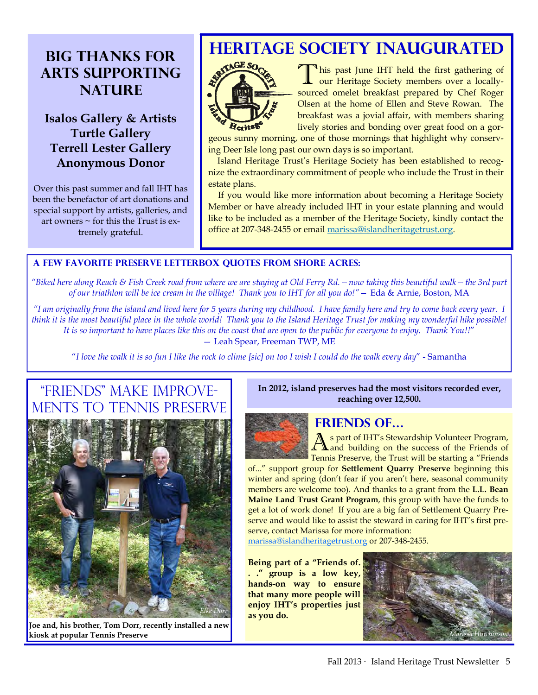### **Big Thanks for Arts Supporting NATURE**

#### **Isalos Gallery & Artists Turtle Gallery Terrell Lester Gallery Anonymous Donor**

Over this past summer and fall IHT has been the benefactor of art donations and special support by artists, galleries, and art owners  $\sim$  for this the Trust is extremely grateful.

### **HERITAGE SOCIETY INAUGURATED**



This past June IHT held the first gathering of our Heritage Society members over a locallysourced omelet breakfast prepared by Chef Roger Olsen at the home of Ellen and Steve Rowan. The breakfast was a jovial affair, with members sharing lively stories and bonding over great food on a gor-

geous sunny morning, one of those mornings that highlight why conserving Deer Isle long past our own days is so important.

 Island Heritage Trust's Heritage Society has been established to recognize the extraordinary commitment of people who include the Trust in their estate plans.

 If you would like more information about becoming a Heritage Society Member or have already included IHT in your estate planning and would like to be included as a member of the Heritage Society, kindly contact the office at 207-348-2455 or email marissa@islandheritagetrust.org.

#### **A Few Favorite Preserve Letterbox Quotes From Shore Acres:**

*"Biked here along Reach & Fish Creek road from where we are staying at Old Ferry Rd.—now taking this beautiful walk—the 3rd part of our triathlon will be ice cream in the village! Thank you to IHT for all you do!"—* Eda & Arnie, Boston, MA

*"I am originally from the island and lived here for 5 years during my childhood. I have family here and try to come back every year. I think it is the most beautiful place in the whole world! Thank you to the Island Heritage Trust for making my wonderful hike possible! It is so important to have places like this on the coast that are open to the public for everyone to enjoy. Thank You!!*" — Leah Spear, Freeman TWP, ME

"*I love the walk it is so fun I like the rock to clime [sic] on too I wish I could do the walk every day*" - Samantha

### "Friends" Make Improve-TO TENNIS PRESERVE



**Joe and, his brother, Tom Dorr, recently installed a new kiosk at popular Tennis Preserve** 

**In 2012, island preserves had the most visitors recorded ever, reaching over 12,500.** 



#### **Friends of…**

A s part of IHT's Stewardship Volunteer Program, and building on the success of the Friends of Tennis Preserve, the Trust will be starting a "Friends

of..." support group for **Settlement Quarry Preserve** beginning this winter and spring (don't fear if you aren't here, seasonal community members are welcome too). And thanks to a grant from the **L.L. Bean Maine Land Trust Grant Program**, this group with have the funds to get a lot of work done! If you are a big fan of Settlement Quarry Preserve and would like to assist the steward in caring for IHT's first preserve, contact Marissa for more information:

marissa@islandheritagetrust.org or 207-348-2455.

**Being part of a "Friends of. . ." group is a low key, hands-on way to ensure that many more people will enjoy IHT's properties just as you do.** 

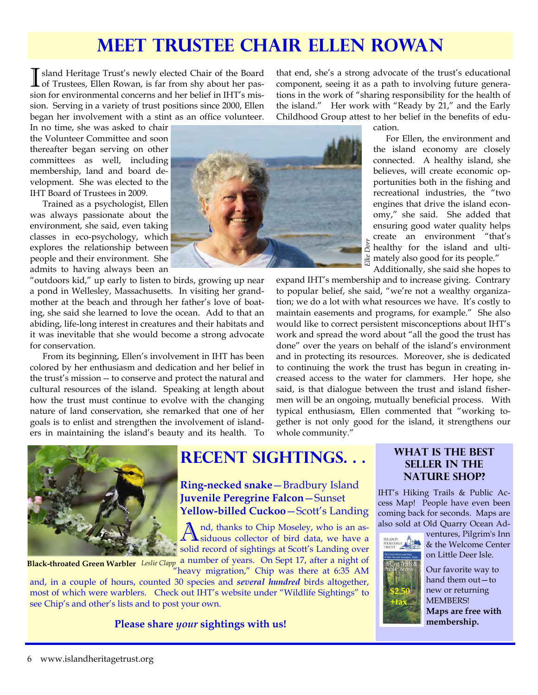## **Meet Trustee Chair Ellen Rowan**

I sland Heritage Trust's newly elected Chair of the Board of Trustees, Ellen Rowan, is far from shy about her passion for environmental concerns and her belief in IHT's mission. Serving in a variety of trust positions since 2000, Ellen began her involvement with a stint as an office volunteer.

that end, she's a strong advocate of the trust's educational component, seeing it as a path to involving future generations in the work of "sharing responsibility for the health of the island." Her work with "Ready by 21," and the Early Childhood Group attest to her belief in the benefits of edu-

In no time, she was asked to chair the Volunteer Committee and soon thereafter began serving on other committees as well, including membership, land and board development. She was elected to the IHT Board of Trustees in 2009.

 Trained as a psychologist, Ellen was always passionate about the environment, she said, even taking classes in eco-psychology, which explores the relationship between people and their environment. She admits to having always been an

"outdoors kid," up early to listen to birds, growing up near a pond in Wellesley, Massachusetts. In visiting her grandmother at the beach and through her father's love of boating, she said she learned to love the ocean. Add to that an abiding, life-long interest in creatures and their habitats and it was inevitable that she would become a strong advocate for conservation.

 From its beginning, Ellen's involvement in IHT has been colored by her enthusiasm and dedication and her belief in the trust's mission -- to conserve and protect the natural and cultural resources of the island. Speaking at length about how the trust must continue to evolve with the changing nature of land conservation, she remarked that one of her goals is to enlist and strengthen the involvement of islanders in maintaining the island's beauty and its health. To



cation.

 For Ellen, the environment and the island economy are closely connected. A healthy island, she believes, will create economic opportunities both in the fishing and recreational industries, the "two engines that drive the island economy," she said. She added that ensuring good water quality helps create an environment "that's  $\sum_{n=1}^{\infty}$  healthy for the island and ulti- $\frac{1}{20}$  mately also good for its people." *Elke Dorr* 

Additionally, she said she hopes to

expand IHT's membership and to increase giving. Contrary to popular belief, she said, "we're not a wealthy organization; we do a lot with what resources we have. It's costly to maintain easements and programs, for example." She also would like to correct persistent misconceptions about IHT's work and spread the word about "all the good the trust has done" over the years on behalf of the island's environment and in protecting its resources. Moreover, she is dedicated to continuing the work the trust has begun in creating increased access to the water for clammers. Her hope, she said, is that dialogue between the trust and island fishermen will be an ongoing, mutually beneficial process. With typical enthusiasm, Ellen commented that "working together is not only good for the island, it strengthens our whole community."



## **Recent Sightings. . . What is the Best**

**Ring-necked snake**—Bradbury Island **Juvenile Peregrine Falcon**—Sunset **Yellow-billed Cuckoo**—Scott's Landing

A nd, thanks to Chip Moseley, who is an assiduous collector of bird data, we have a solid record of sightings at Scott's Landing over

a number of years. On Sept 17, after a night of Black-throated Green Warbler Leslie Clapp a number of years. On Sept 17, after a hight of<br>"heavy migration," Chip was there at 6:35 AM"

and, in a couple of hours, counted 30 species and *several hundred* birds altogether, most of which were warblers. Check out IHT's website under "Wildlife Sightings" to see Chip's and other's lists and to post your own.

**Please share** *your* **sightings with us!** 

### **Seller in the Nature Shop?**

IHT's Hiking Trails & Public Access Map! People have even been coming back for seconds. Maps are also sold at Old Quarry Ocean Ad-



ventures, Pilgrim's Inn & the Welcome Center on Little Deer Isle.



Our favorite way to hand them out—to new or returning MEMBERS! **Maps are free with membership.**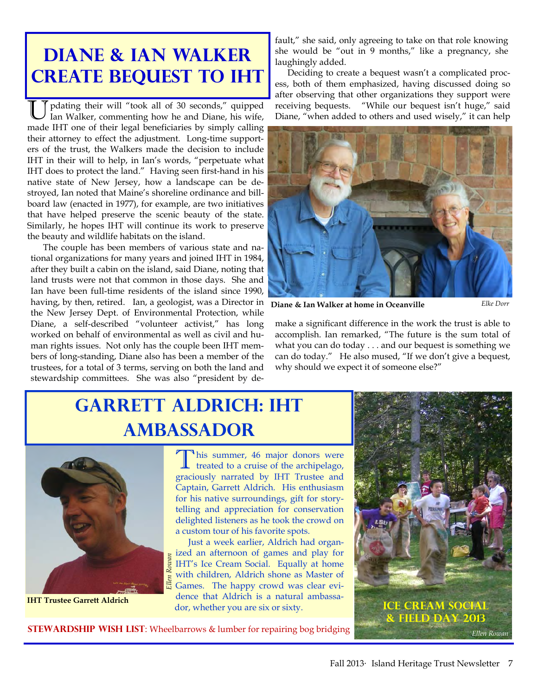# **Diane & Ian Walker Create Bequest to IHT**

pdating their will "took all of 30 seconds," quipped Ian Walker, commenting how he and Diane, his wife, made IHT one of their legal beneficiaries by simply calling their attorney to effect the adjustment. Long-time supporters of the trust, the Walkers made the decision to include IHT in their will to help, in Ian's words, "perpetuate what IHT does to protect the land." Having seen first-hand in his native state of New Jersey, how a landscape can be destroyed, Ian noted that Maine's shoreline ordinance and billboard law (enacted in 1977), for example, are two initiatives that have helped preserve the scenic beauty of the state. Similarly, he hopes IHT will continue its work to preserve the beauty and wildlife habitats on the island.

The couple has been members of various state and national organizations for many years and joined IHT in 1984, after they built a cabin on the island, said Diane, noting that land trusts were not that common in those days. She and Ian have been full-time residents of the island since 1990, having, by then, retired. Ian, a geologist, was a Director in the New Jersey Dept. of Environmental Protection, while Diane, a self-described "volunteer activist," has long worked on behalf of environmental as well as civil and human rights issues. Not only has the couple been IHT members of long-standing, Diane also has been a member of the trustees, for a total of 3 terms, serving on both the land and stewardship committees. She was also "president by default," she said, only agreeing to take on that role knowing she would be "out in 9 months," like a pregnancy, she laughingly added.

Deciding to create a bequest wasn't a complicated process, both of them emphasized, having discussed doing so after observing that other organizations they support were receiving bequests. "While our bequest isn't huge," said Diane, "when added to others and used wisely," it can help



**Diane & Ian Walker at home in Oceanville** *Elke Dorr* 

make a significant difference in the work the trust is able to accomplish. Ian remarked, "The future is the sum total of what you can do today . . . and our bequest is something we can do today." He also mused, "If we don't give a bequest, why should we expect it of someone else?"

# **Garrett Aldrich: IHT Ambassador**



**IHT Trustee Garrett Aldrich** 

This summer, 46 major donors were<br>treated to a cruise of the archipelago, graciously narrated by IHT Trustee and Captain, Garrett Aldrich. His enthusiasm for his native surroundings, gift for storytelling and appreciation for conservation delighted listeners as he took the crowd on a custom tour of his favorite spots.

 Just a week earlier, Aldrich had organized an afternoon of games and play for IHT's Ice Cream Social. Equally at home with children, Aldrich shone as Master of  $\frac{E}{E}$  with children, Alarich shone as *master* of  $\frac{E}{E}$  Games. The happy crowd was clear evidence that Aldrich is a natural ambassador, whether you are six or sixty.



**STEWARDSHIP WISH LIST**: Wheelbarrows & lumber for repairing bog bridging Ellen Rowan